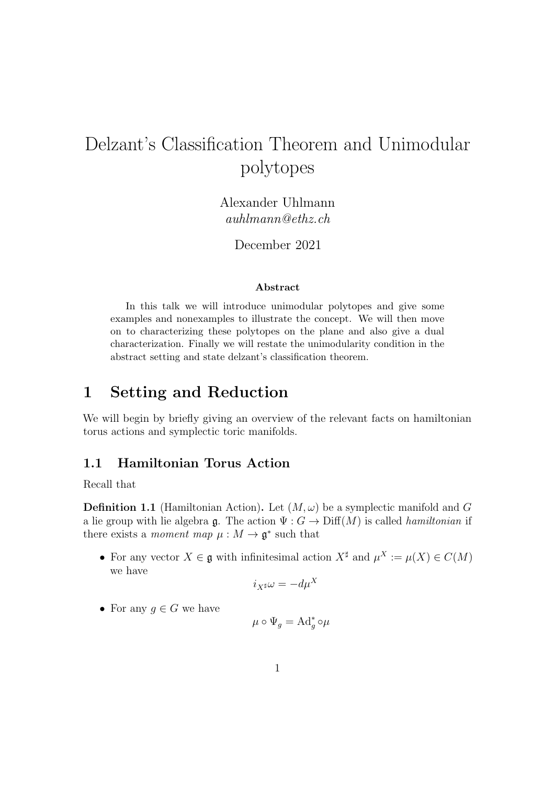# Delzant's Classification Theorem and Unimodular polytopes

Alexander Uhlmann auhlmann@ethz.ch

December 2021

#### Abstract

In this talk we will introduce unimodular polytopes and give some examples and nonexamples to illustrate the concept. We will then move on to characterizing these polytopes on the plane and also give a dual characterization. Finally we will restate the unimodularity condition in the abstract setting and state delzant's classification theorem.

## 1 Setting and Reduction

We will begin by briefly giving an overview of the relevant facts on hamiltonian torus actions and symplectic toric manifolds.

#### 1.1 Hamiltonian Torus Action

Recall that

**Definition 1.1** (Hamiltonian Action). Let  $(M, \omega)$  be a symplectic manifold and G a lie group with lie algebra  $\mathfrak{g}$ . The action  $\Psi: G \to \text{Diff}(M)$  is called *hamiltonian* if there exists a *moment map*  $\mu : M \to \mathfrak{g}^*$  such that

• For any vector  $X \in \mathfrak{g}$  with infinitesimal action  $X^{\sharp}$  and  $\mu^{X} := \mu(X) \in C(M)$ we have

$$
i_{X^{\sharp}}\omega = -d\mu^X
$$

• For any  $g \in G$  we have

$$
\mu \circ \Psi_g = \mathrm{Ad}_g^* \circ \mu
$$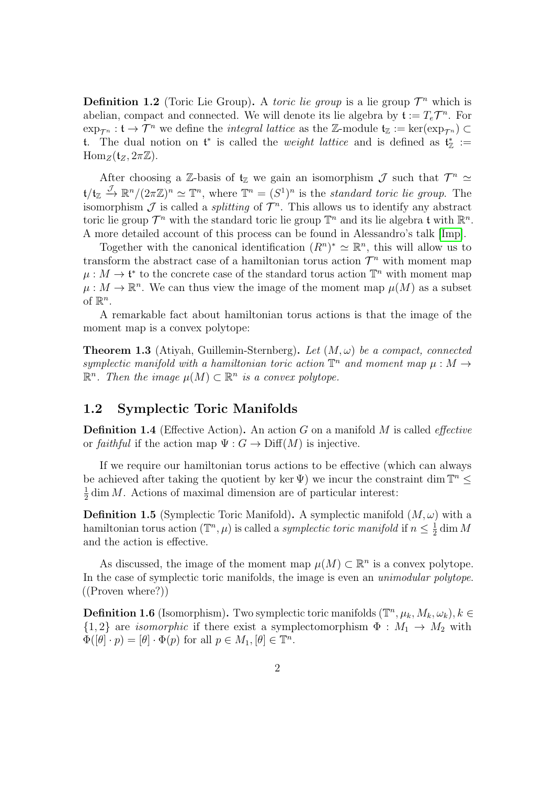**Definition 1.2** (Toric Lie Group). A *toric lie group* is a lie group  $\mathcal{T}^n$  which is abelian, compact and connected. We will denote its lie algebra by  $\mathfrak{t} := T_e \mathcal{T}^n$ . For  $\exp_{\mathcal{T}^n}: \mathfrak{t} \to \mathcal{T}^n$  we define the *integral lattice* as the Z-module  $\mathfrak{t}_\mathbb{Z} := \ker(\exp_{\mathcal{T}^n}) \subset$ t. The dual notion on  $\mathfrak{t}^*$  is called the *weight lattice* and is defined as  $\mathfrak{t}^*_{\mathbb{Z}} :=$  $\text{Hom}_Z(\mathfrak{t}_Z, 2\pi \mathbb{Z}).$ 

After choosing a Z-basis of  $t_{\mathbb{Z}}$  we gain an isomorphism  $\mathcal{J}$  such that  $\mathcal{T}^n \simeq$  $\mathfrak{t}/\mathfrak{t}_{\mathbb{Z}} \stackrel{\mathcal{J}}{\rightarrow} \mathbb{R}^n/(2\pi\mathbb{Z})^n \simeq \mathbb{T}^n$ , where  $\mathbb{T}^n = (S^1)^n$  is the standard toric lie group. The isomorphism  $\mathcal J$  is called a *splitting* of  $\mathcal T^n$ . This allows us to identify any abstract toric lie group  $\mathcal{T}^n$  with the standard toric lie group  $\mathbb{T}^n$  and its lie algebra t with  $\mathbb{R}^n$ . A more detailed account of this process can be found in Alessandro's talk [\[Imp\]](#page-7-0).

Together with the canonical identification  $(R^n)^* \simeq \mathbb{R}^n$ , this will allow us to transform the abstract case of a hamiltonian torus action  $\mathcal{T}^n$  with moment map  $\mu: M \to \mathfrak{t}^*$  to the concrete case of the standard torus action  $\mathbb{T}^n$  with moment map  $\mu: M \to \mathbb{R}^n$ . We can thus view the image of the moment map  $\mu(M)$  as a subset of  $\mathbb{R}^n$ .

A remarkable fact about hamiltonian torus actions is that the image of the moment map is a convex polytope:

**Theorem 1.3** (Atiyah, Guillemin-Sternberg). Let  $(M, \omega)$  be a compact, connected symplectic manifold with a hamiltonian toric action  $\mathbb{T}^n$  and moment map  $\mu : M \to$  $\mathbb{R}^n$ . Then the image  $\mu(M) \subset \mathbb{R}^n$  is a convex polytope.

#### 1.2 Symplectic Toric Manifolds

**Definition 1.4** (Effective Action). An action  $G$  on a manifold  $M$  is called *effective* or faithful if the action map  $\Psi: G \to \text{Diff}(M)$  is injective.

If we require our hamiltonian torus actions to be effective (which can always be achieved after taking the quotient by ker  $\Psi$ ) we incur the constraint dim  $\mathbb{T}^n \leq$ 1  $\frac{1}{2}$  dim *M*. Actions of maximal dimension are of particular interest:

**Definition 1.5** (Symplectic Toric Manifold). A symplectic manifold  $(M, \omega)$  with a hamiltonian torus action  $(\mathbb{T}^n, \mu)$  is called a *symplectic toric manifold* if  $n \leq \frac{1}{2}$  $\frac{1}{2}$  dim M and the action is effective.

As discussed, the image of the moment map  $\mu(M) \subset \mathbb{R}^n$  is a convex polytope. In the case of symplectic toric manifolds, the image is even an *unimodular polytope*. ((Proven where?))

**Definition 1.6** (Isomorphism). Two symplectic toric manifolds  $(\mathbb{T}^n, \mu_k, M_k, \omega_k), k \in$  $\{1,2\}$  are *isomorphic* if there exist a symplectomorphism  $\Phi : M_1 \to M_2$  with  $\Phi([\theta] \cdot p) = [\theta] \cdot \Phi(p)$  for all  $p \in M_1, [\theta] \in \mathbb{T}^n$ .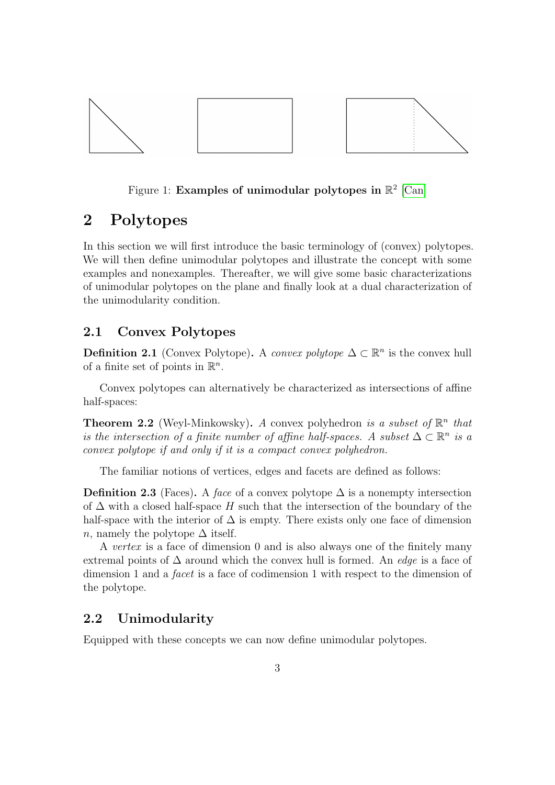

#### Figure 1: Examples of unimodular polytopes in  $\mathbb{R}^2$  [\[Can\]](#page-7-1)

## 2 Polytopes

In this section we will first introduce the basic terminology of (convex) polytopes. We will then define unimodular polytopes and illustrate the concept with some examples and nonexamples. Thereafter, we will give some basic characterizations of unimodular polytopes on the plane and finally look at a dual characterization of the unimodularity condition.

#### 2.1 Convex Polytopes

**Definition 2.1** (Convex Polytope). A convex polytope  $\Delta \subset \mathbb{R}^n$  is the convex hull of a finite set of points in  $\mathbb{R}^n$ .

Convex polytopes can alternatively be characterized as intersections of affine half-spaces:

**Theorem 2.2** (Weyl-Minkowsky). A convex polyhedron is a subset of  $\mathbb{R}^n$  that is the intersection of a finite number of affine half-spaces. A subset  $\Delta \subset \mathbb{R}^n$  is a convex polytope if and only if it is a compact convex polyhedron.

The familiar notions of vertices, edges and facets are defined as follows:

Definition 2.3 (Faces). A face of a convex polytope  $\Delta$  is a nonempty intersection of  $\Delta$  with a closed half-space H such that the intersection of the boundary of the half-space with the interior of  $\Delta$  is empty. There exists only one face of dimension n, namely the polytope  $\Delta$  itself.

A vertex is a face of dimension 0 and is also always one of the finitely many extremal points of  $\Delta$  around which the convex hull is formed. An *edge* is a face of dimension 1 and a facet is a face of codimension 1 with respect to the dimension of the polytope.

#### 2.2 Unimodularity

Equipped with these concepts we can now define unimodular polytopes.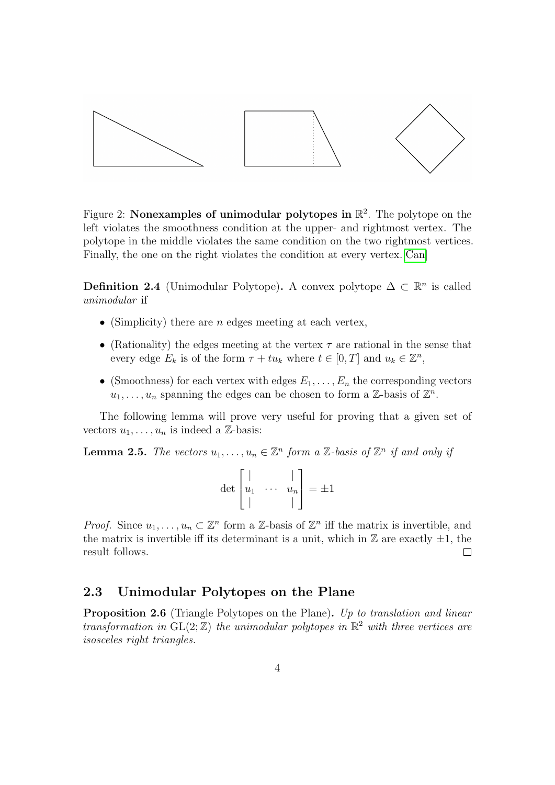

Figure 2: Nonexamples of unimodular polytopes in  $\mathbb{R}^2$ . The polytope on the left violates the smoothness condition at the upper- and rightmost vertex. The polytope in the middle violates the same condition on the two rightmost vertices. Finally, the one on the right violates the condition at every vertex.[\[Can\]](#page-7-1)

**Definition 2.4** (Unimodular Polytope). A convex polytope  $\Delta \subset \mathbb{R}^n$  is called unimodular if

- (Simplicity) there are *n* edges meeting at each vertex,
- (Rationality) the edges meeting at the vertex  $\tau$  are rational in the sense that every edge  $E_k$  is of the form  $\tau + tu_k$  where  $t \in [0, T]$  and  $u_k \in \mathbb{Z}^n$ ,
- (Smoothness) for each vertex with edges  $E_1, \ldots, E_n$  the corresponding vectors  $u_1, \ldots, u_n$  spanning the edges can be chosen to form a Z-basis of  $\mathbb{Z}^n$ .

The following lemma will prove very useful for proving that a given set of vectors  $u_1, \ldots, u_n$  is indeed a Z-basis:

**Lemma 2.5.** The vectors  $u_1, \ldots, u_n \in \mathbb{Z}^n$  form a Z-basis of  $\mathbb{Z}^n$  if and only if

| $\det  u_1 $ |  | $\boldsymbol{u}_n$ |  |
|--------------|--|--------------------|--|
|              |  |                    |  |

*Proof.* Since  $u_1, \ldots, u_n \subset \mathbb{Z}^n$  form a Z-basis of  $\mathbb{Z}^n$  iff the matrix is invertible, and the matrix is invertible iff its determinant is a unit, which in  $\mathbb Z$  are exactly  $\pm 1$ , the result follows.  $\Box$ 

#### 2.3 Unimodular Polytopes on the Plane

<span id="page-3-0"></span>Proposition 2.6 (Triangle Polytopes on the Plane). Up to translation and linear transformation in  $GL(2;\mathbb{Z})$  the unimodular polytopes in  $\mathbb{R}^2$  with three vertices are isosceles right triangles.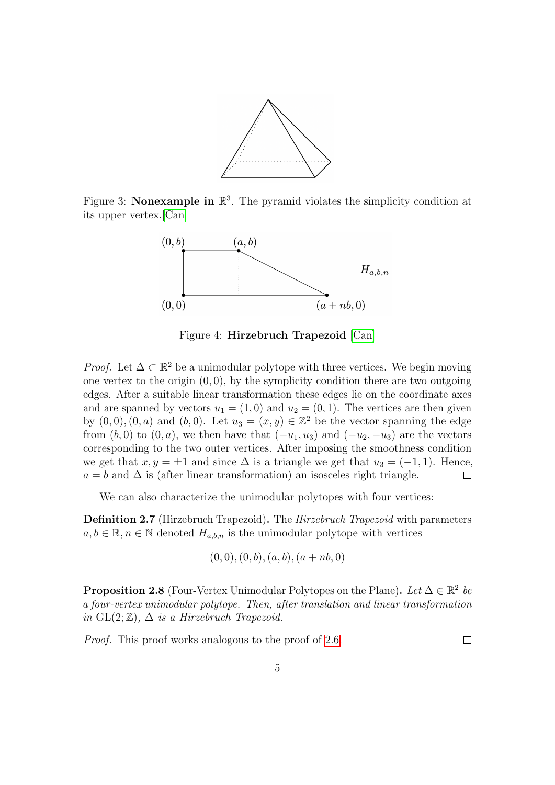

Figure 3: **Nonexample in**  $\mathbb{R}^3$ . The pyramid violates the simplicity condition at its upper vertex.[\[Can\]](#page-7-1)



Figure 4: Hirzebruch Trapezoid [\[Can\]](#page-7-1)

*Proof.* Let  $\Delta \subset \mathbb{R}^2$  be a unimodular polytope with three vertices. We begin moving one vertex to the origin  $(0, 0)$ , by the symplicity condition there are two outgoing edges. After a suitable linear transformation these edges lie on the coordinate axes and are spanned by vectors  $u_1 = (1, 0)$  and  $u_2 = (0, 1)$ . The vertices are then given by  $(0,0), (0, a)$  and  $(b, 0)$ . Let  $u_3 = (x, y) \in \mathbb{Z}^2$  be the vector spanning the edge from  $(b, 0)$  to  $(0, a)$ , we then have that  $(-u_1, u_3)$  and  $(-u_2, -u_3)$  are the vectors corresponding to the two outer vertices. After imposing the smoothness condition we get that  $x, y = \pm 1$  and since  $\Delta$  is a triangle we get that  $u_3 = (-1, 1)$ . Hence,  $a = b$  and  $\Delta$  is (after linear transformation) an isosceles right triangle.  $\Box$ 

We can also characterize the unimodular polytopes with four vertices:

Definition 2.7 (Hirzebruch Trapezoid). The Hirzebruch Trapezoid with parameters  $a, b \in \mathbb{R}, n \in \mathbb{N}$  denoted  $H_{a,b,n}$  is the unimodular polytope with vertices

$$
(0,0), (0,b), (a,b), (a+nb,0)
$$

**Proposition 2.8** (Four-Vertex Unimodular Polytopes on the Plane). Let  $\Delta \in \mathbb{R}^2$  be a four-vertex unimodular polytope. Then, after translation and linear transformation in  $GL(2;\mathbb{Z})$ ,  $\Delta$  is a Hirzebruch Trapezoid.

Proof. This proof works analogous to the proof of [2.6.](#page-3-0)

 $\Box$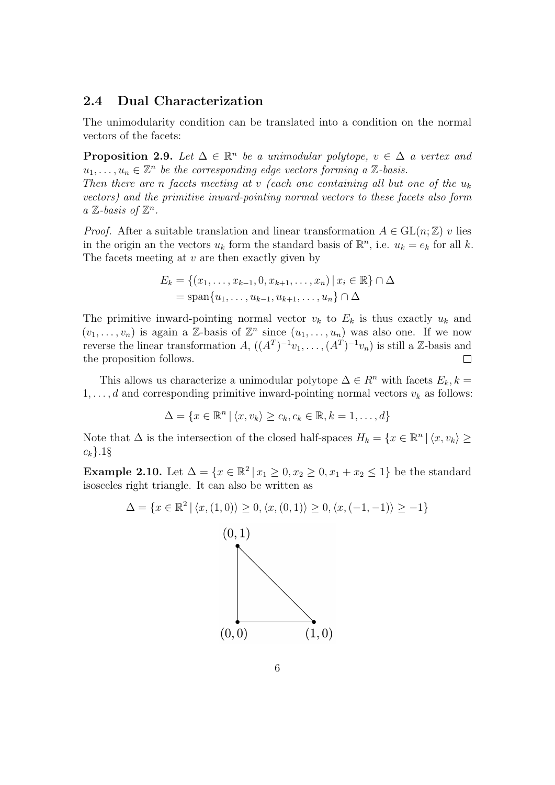#### 2.4 Dual Characterization

The unimodularity condition can be translated into a condition on the normal vectors of the facets:

**Proposition 2.9.** Let  $\Delta \in \mathbb{R}^n$  be a unimodular polytope,  $v \in \Delta$  a vertex and  $u_1, \ldots, u_n \in \mathbb{Z}^n$  be the corresponding edge vectors forming a  $\mathbb{Z}$ -basis. Then there are n facets meeting at v (each one containing all but one of the  $u_k$ vectors) and the primitive inward-pointing normal vectors to these facets also form  $a \mathbb{Z}$ -basis of  $\mathbb{Z}^n$ .

*Proof.* After a suitable translation and linear transformation  $A \in GL(n, \mathbb{Z})$  v lies in the origin an the vectors  $u_k$  form the standard basis of  $\mathbb{R}^n$ , i.e.  $u_k = e_k$  for all k. The facets meeting at  $v$  are then exactly given by

$$
E_k = \{(x_1, ..., x_{k-1}, 0, x_{k+1}, ..., x_n) | x_i \in \mathbb{R}\} \cap \Delta
$$
  
= span{u<sub>1</sub>, ..., u<sub>k-1</sub>, u<sub>k+1</sub>, ..., u<sub>n</sub>} \cap \Delta

The primitive inward-pointing normal vector  $v_k$  to  $E_k$  is thus exactly  $u_k$  and  $(v_1, \ldots, v_n)$  is again a Z-basis of  $\mathbb{Z}^n$  since  $(u_1, \ldots, u_n)$  was also one. If we now reverse the linear transformation  $A, ((A<sup>T</sup>)<sup>-1</sup>v<sub>1</sub>, ..., (A<sup>T</sup>)<sup>-1</sup>v<sub>n</sub>)$  is still a Z-basis and the proposition follows.  $\Box$ 

This allows us characterize a unimodular polytope  $\Delta \in \mathbb{R}^n$  with facets  $E_k, k =$  $1, \ldots, d$  and corresponding primitive inward-pointing normal vectors  $v_k$  as follows:

$$
\Delta = \{x \in \mathbb{R}^n \mid \langle x, v_k \rangle \ge c_k, c_k \in \mathbb{R}, k = 1, \dots, d\}
$$

Note that  $\Delta$  is the intersection of the closed half-spaces  $H_k = \{x \in \mathbb{R}^n \mid \langle x, v_k \rangle \geq 0\}$  $c_k$ .1§

**Example 2.10.** Let  $\Delta = \{x \in \mathbb{R}^2 \mid x_1 \geq 0, x_2 \geq 0, x_1 + x_2 \leq 1\}$  be the standard isosceles right triangle. It can also be written as

$$
\Delta = \{x \in \mathbb{R}^2 \mid \langle x, (1,0) \rangle \ge 0, \langle x, (0,1) \rangle \ge 0, \langle x, (-1,-1) \rangle \ge -1\}
$$

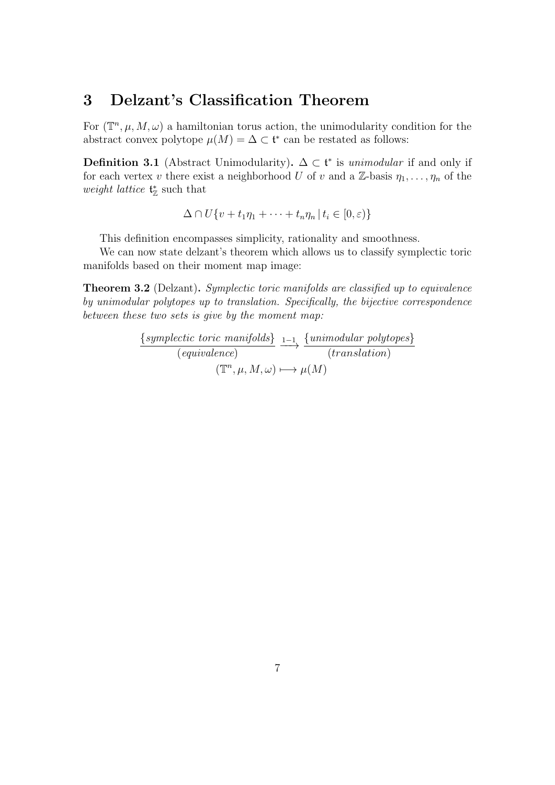## 3 Delzant's Classification Theorem

For  $(\mathbb{T}^n, \mu, M, \omega)$  a hamiltonian torus action, the unimodularity condition for the abstract convex polytope  $\mu(M) = \Delta \subset \mathfrak{t}^*$  can be restated as follows:

**Definition 3.1** (Abstract Unimodularity).  $\Delta \subset \mathfrak{t}^*$  is *unimodular* if and only if for each vertex v there exist a neighborhood U of v and a Z-basis  $\eta_1, \ldots, \eta_n$  of the weight lattice  $\mathfrak{t}_{\mathbb{Z}}^*$  such that

$$
\Delta \cap U\{v+t_1\eta_1 + \cdots + t_n\eta_n \,|\, t_i \in [0,\varepsilon)\}\
$$

This definition encompasses simplicity, rationality and smoothness.

We can now state delzant's theorem which allows us to classify symplectic toric manifolds based on their moment map image:

**Theorem 3.2** (Delzant). Symplectic toric manifolds are classified up to equivalence by unimodular polytopes up to translation. Specifically, the bijective correspondence between these two sets is give by the moment map:

> {symplectic toric manifolds} (equivalence)  $\xrightarrow{1-1} \frac{\{unimodular\ polytopes\}}{\sqrt{u^2+1}}$ (translation)  $(\mathbb{T}^n, \mu, M, \omega) \longmapsto \mu(M)$